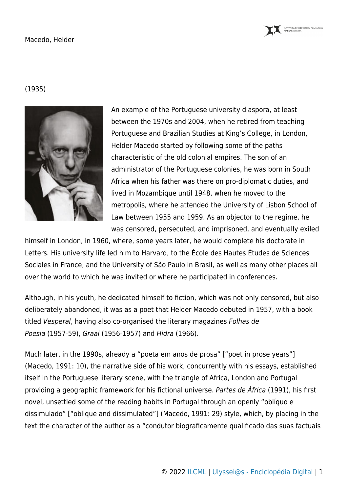

## Macedo, Helder

## (1935)



An example of the Portuguese university diaspora, at least between the 1970s and 2004, when he retired from teaching Portuguese and Brazilian Studies at King's College, in London, Helder Macedo started by following some of the paths characteristic of the old colonial empires. The son of an administrator of the Portuguese colonies, he was born in South Africa when his father was there on pro-diplomatic duties, and lived in Mozambique until 1948, when he moved to the metropolis, where he attended the University of Lisbon School of Law between 1955 and 1959. As an objector to the regime, he was censored, persecuted, and imprisoned, and eventually exiled

himself in London, in 1960, where, some years later, he would complete his doctorate in Letters. His university life led him to Harvard, to the École des Hautes Études de Sciences Sociales in France, and the University of São Paulo in Brasil, as well as many other places all over the world to which he was invited or where he participated in conferences.

Although, in his youth, he dedicated himself to fiction, which was not only censored, but also deliberately abandoned, it was as a poet that Helder Macedo debuted in 1957, with a book titled Vesperal, having also co-organised the literary magazines Folhas de Poesia (1957-59), Graal (1956-1957) and Hidra (1966).

Much later, in the 1990s, already a "poeta em anos de prosa" ["poet in prose years"] (Macedo, 1991: 10), the narrative side of his work, concurrently with his essays, established itself in the Portuguese literary scene, with the triangle of Africa, London and Portugal providing a geographic framework for his fictional universe. Partes de África (1991), his first novel, unsettled some of the reading habits in Portugal through an openly "oblíquo e dissimulado" ["oblique and dissimulated"] (Macedo, 1991: 29) style, which, by placing in the text the character of the author as a "condutor biograficamente qualificado das suas factuais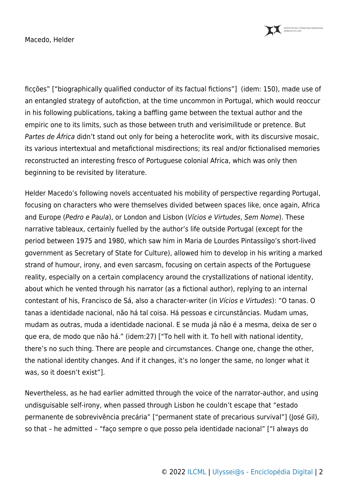INSTITUTO DE LITERATURA COMPARADA MARGARIDA LOSA

Macedo, Helder

ficções" ["biographically qualified conductor of its factual fictions"] (idem: 150), made use of an entangled strategy of autofiction, at the time uncommon in Portugal, which would reoccur in his following publications, taking a baffling game between the textual author and the empiric one to its limits, such as those between truth and verisimilitude or pretence. But Partes de África didn't stand out only for being a heteroclite work, with its discursive mosaic, its various intertextual and metafictional misdirections; its real and/or fictionalised memories reconstructed an interesting fresco of Portuguese colonial Africa, which was only then beginning to be revisited by literature.

Helder Macedo's following novels accentuated his mobility of perspective regarding Portugal, focusing on characters who were themselves divided between spaces like, once again, Africa and Europe (Pedro e Paula), or London and Lisbon (Vícios e Virtudes, Sem Nome). These narrative tableaux, certainly fuelled by the author's life outside Portugal (except for the period between 1975 and 1980, which saw him in Maria de Lourdes Pintassilgo's short-lived government as Secretary of State for Culture), allowed him to develop in his writing a marked strand of humour, irony, and even sarcasm, focusing on certain aspects of the Portuguese reality, especially on a certain complacency around the crystallizations of national identity, about which he vented through his narrator (as a fictional author), replying to an internal contestant of his, Francisco de Sá, also a character-writer (in Vícios e Virtudes): "O tanas. O tanas a identidade nacional, não há tal coisa. Há pessoas e circunstâncias. Mudam umas, mudam as outras, muda a identidade nacional. E se muda já não é a mesma, deixa de ser o que era, de modo que não há." (idem:27) ["To hell with it. To hell with national identity, there's no such thing. There are people and circumstances. Change one, change the other, the national identity changes. And if it changes, it's no longer the same, no longer what it was, so it doesn't exist"].

Nevertheless, as he had earlier admitted through the voice of the narrator-author, and using undisguisable self-irony, when passed through Lisbon he couldn't escape that "estado permanente de sobrevivência precária" ["permanent state of precarious survival"] (José Gil), so that – he admitted – "faço sempre o que posso pela identidade nacional" ["I always do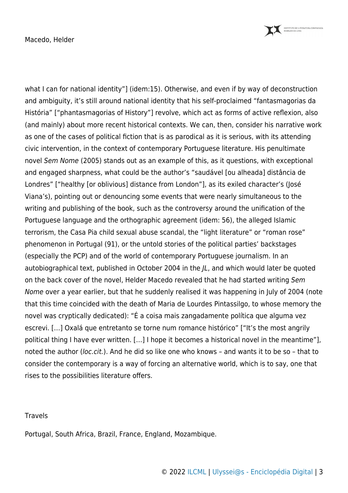INSTITUTO DE LITERATURA COMPARADA<br>MARGARIDA LOSA

Macedo, Helder

what I can for national identity"] (idem:15). Otherwise, and even if by way of deconstruction and ambiguity, it's still around national identity that his self-proclaimed "fantasmagorias da História" ["phantasmagorias of History"] revolve, which act as forms of active reflexion, also (and mainly) about more recent historical contexts. We can, then, consider his narrative work as one of the cases of political fiction that is as parodical as it is serious, with its attending civic intervention, in the context of contemporary Portuguese literature. His penultimate novel Sem Nome (2005) stands out as an example of this, as it questions, with exceptional and engaged sharpness, what could be the author's "saudável [ou alheada] distância de Londres" ["healthy [or oblivious] distance from London"], as its exiled character's (José Viana's), pointing out or denouncing some events that were nearly simultaneous to the writing and publishing of the book, such as the controversy around the unification of the Portuguese language and the orthographic agreement (idem: 56), the alleged Islamic terrorism, the Casa Pia child sexual abuse scandal, the "light literature" or "roman rose" phenomenon in Portugal (91), or the untold stories of the political parties' backstages (especially the PCP) and of the world of contemporary Portuguese journalism. In an autobiographical text, published in October 2004 in the JL, and which would later be quoted on the back cover of the novel, Helder Macedo revealed that he had started writing Sem Nome over a year earlier, but that he suddenly realised it was happening in July of 2004 (note that this time coincided with the death of Maria de Lourdes Pintassilgo, to whose memory the novel was cryptically dedicated): "É a coisa mais zangadamente política que alguma vez escrevi. […] Oxalá que entretanto se torne num romance histórico" ["It's the most angrily political thing I have ever written. […] I hope it becomes a historical novel in the meantime"], noted the author (loc.cit.). And he did so like one who knows – and wants it to be so – that to consider the contemporary is a way of forcing an alternative world, which is to say, one that rises to the possibilities literature offers.

## **Travels**

Portugal, South Africa, Brazil, France, England, Mozambique.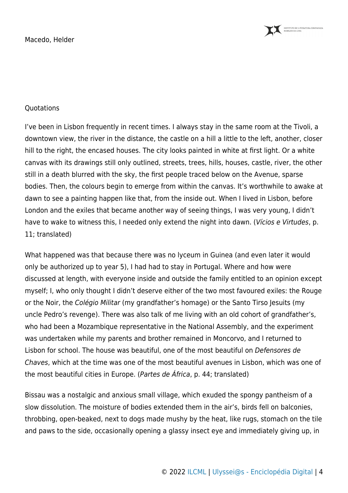Macedo, Helder



## **Ouotations**

I've been in Lisbon frequently in recent times. I always stay in the same room at the Tivoli, a downtown view, the river in the distance, the castle on a hill a little to the left, another, closer hill to the right, the encased houses. The city looks painted in white at first light. Or a white canvas with its drawings still only outlined, streets, trees, hills, houses, castle, river, the other still in a death blurred with the sky, the first people traced below on the Avenue, sparse bodies. Then, the colours begin to emerge from within the canvas. It's worthwhile to awake at dawn to see a painting happen like that, from the inside out. When I lived in Lisbon, before London and the exiles that became another way of seeing things, I was very young, I didn't have to wake to witness this, I needed only extend the night into dawn. (Vícios e Virtudes, p. 11; translated)

What happened was that because there was no lyceum in Guinea (and even later it would only be authorized up to year 5), I had had to stay in Portugal. Where and how were discussed at length, with everyone inside and outside the family entitled to an opinion except myself; I, who only thought I didn't deserve either of the two most favoured exiles: the Rouge or the Noir, the Colégio Militar (my grandfather's homage) or the Santo Tirso Jesuits (my uncle Pedro's revenge). There was also talk of me living with an old cohort of grandfather's, who had been a Mozambique representative in the National Assembly, and the experiment was undertaken while my parents and brother remained in Moncorvo, and I returned to Lisbon for school. The house was beautiful, one of the most beautiful on Defensores de Chaves, which at the time was one of the most beautiful avenues in Lisbon, which was one of the most beautiful cities in Europe. (Partes de África, p. 44; translated)

Bissau was a nostalgic and anxious small village, which exuded the spongy pantheism of a slow dissolution. The moisture of bodies extended them in the air's, birds fell on balconies, throbbing, open-beaked, next to dogs made mushy by the heat, like rugs, stomach on the tile and paws to the side, occasionally opening a glassy insect eye and immediately giving up, in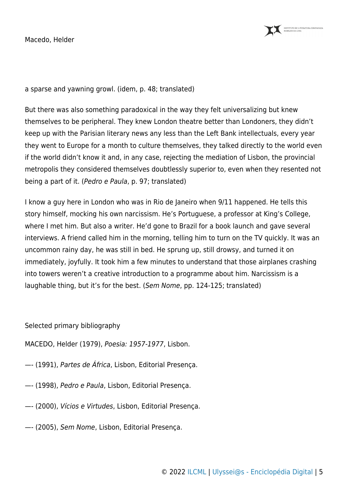Macedo, Helder



a sparse and yawning growl. (idem, p. 48; translated)

But there was also something paradoxical in the way they felt universalizing but knew themselves to be peripheral. They knew London theatre better than Londoners, they didn't keep up with the Parisian literary news any less than the Left Bank intellectuals, every year they went to Europe for a month to culture themselves, they talked directly to the world even if the world didn't know it and, in any case, rejecting the mediation of Lisbon, the provincial metropolis they considered themselves doubtlessly superior to, even when they resented not being a part of it. (Pedro e Paula, p. 97; translated)

I know a guy here in London who was in Rio de Janeiro when 9/11 happened. He tells this story himself, mocking his own narcissism. He's Portuguese, a professor at King's College, where I met him. But also a writer. He'd gone to Brazil for a book launch and gave several interviews. A friend called him in the morning, telling him to turn on the TV quickly. It was an uncommon rainy day, he was still in bed. He sprung up, still drowsy, and turned it on immediately, joyfully. It took him a few minutes to understand that those airplanes crashing into towers weren't a creative introduction to a programme about him. Narcissism is a laughable thing, but it's for the best. (Sem Nome, pp. 124-125; translated)

Selected primary bibliography

MACEDO, Helder (1979), Poesia: 1957-1977, Lisbon.

- —- (1991), Partes de África, Lisbon, Editorial Presença.
- —- (1998), Pedro e Paula, Lisbon, Editorial Presença.
- —- (2000), Vícios e Virtudes, Lisbon, Editorial Presença.
- —- (2005), Sem Nome, Lisbon, Editorial Presença.